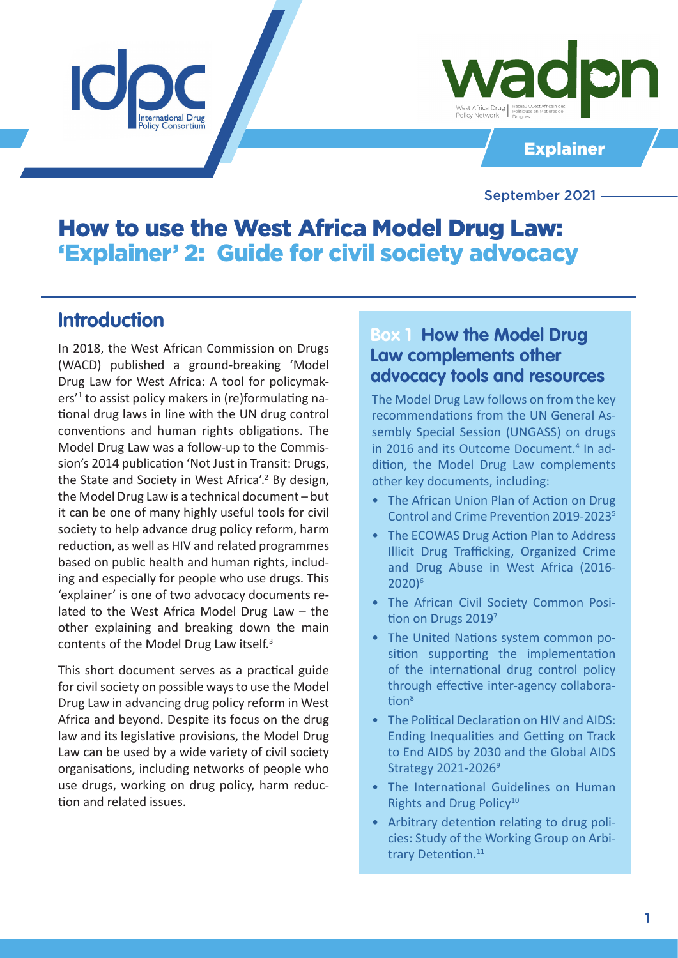



Explainer

September 2021

# How to use the West Africa Model Drug Law: 'Explainer' 2: Guide for civil society advocacy

## **Introduction**

In 2018, the West African Commission on Drugs (WACD) published a ground-breaking 'Model Drug Law for West Africa: A tool for policymakers'1 to assist policy makers in (re)formulating national drug laws in line with the UN drug control conventions and human rights obligations. The Model Drug Law was a follow-up to the Commission's 2014 publication 'Not Just in Transit: Drugs, the State and Society in West Africa'.<sup>2</sup> By design, the Model Drug Law is a technical document – but it can be one of many highly useful tools for civil society to help advance drug policy reform, harm reduction, as well as HIV and related programmes based on public health and human rights, including and especially for people who use drugs. This 'explainer' is one of two advocacy documents related to the West Africa Model Drug Law – the other explaining and breaking down the main contents of the Model Drug Law itself.3

This short document serves as a practical guide for civil society on possible ways to use the Model Drug Law in advancing drug policy reform in West Africa and beyond. Despite its focus on the drug law and its legislative provisions, the Model Drug Law can be used by a wide variety of civil society organisations, including networks of people who use drugs, working on drug policy, harm reduction and related issues.

### **Box 1 How the Model Drug Law complements other advocacy tools and resources**

The Model Drug Law follows on from the key recommendations from the UN General Assembly Special Session (UNGASS) on drugs in 2016 and its Outcome Document.<sup>4</sup> In addition, the Model Drug Law complements other key documents, including:

- The African Union Plan of Action on Drug Control and Crime Prevention 2019-2023<sup>5</sup>
- The ECOWAS Drug Action Plan to Address Illicit Drug Trafficking, Organized Crime and Drug Abuse in West Africa (2016- 2020)6
- The African Civil Society Common Position on Drugs 20197
- The United Nations system common position supporting the implementation of the international drug control policy through effective inter-agency collaboration<sup>8</sup>
- The Political Declaration on HIV and AIDS: Ending Inequalities and Getting on Track to End AIDS by 2030 and the Global AIDS Strategy 2021-2026<sup>9</sup>
- The International Guidelines on Human Rights and Drug Policy<sup>10</sup>
- Arbitrary detention relating to drug policies: Study of the Working Group on Arbitrary Detention.<sup>11</sup>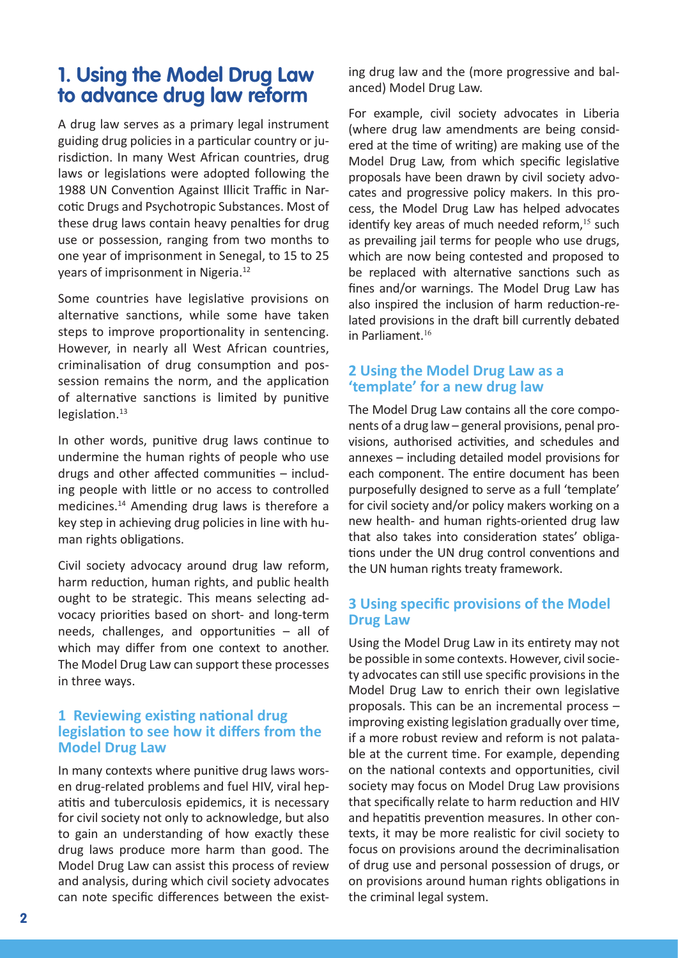## **1. Using the Model Drug Law to advance drug law reform**

A drug law serves as a primary legal instrument guiding drug policies in a particular country or jurisdiction. In many West African countries, drug laws or legislations were adopted following the 1988 UN Convention Against Illicit Traffic in Narcotic Drugs and Psychotropic Substances. Most of these drug laws contain heavy penalties for drug use or possession, ranging from two months to one year of imprisonment in Senegal, to 15 to 25 years of imprisonment in Nigeria.<sup>12</sup>

Some countries have legislative provisions on alternative sanctions, while some have taken steps to improve proportionality in sentencing. However, in nearly all West African countries, criminalisation of drug consumption and possession remains the norm, and the application of alternative sanctions is limited by punitive legislation.<sup>13</sup>

In other words, punitive drug laws continue to undermine the human rights of people who use drugs and other affected communities – including people with little or no access to controlled medicines.14 Amending drug laws is therefore a key step in achieving drug policies in line with human rights obligations.

Civil society advocacy around drug law reform, harm reduction, human rights, and public health ought to be strategic. This means selecting advocacy priorities based on short- and long-term needs, challenges, and opportunities – all of which may differ from one context to another. The Model Drug Law can support these processes in three ways.

#### **1 Reviewing existing national drug legislation to see how it differs from the Model Drug Law**

In many contexts where punitive drug laws worsen drug-related problems and fuel HIV, viral hepatitis and tuberculosis epidemics, it is necessary for civil society not only to acknowledge, but also to gain an understanding of how exactly these drug laws produce more harm than good. The Model Drug Law can assist this process of review and analysis, during which civil society advocates can note specific differences between the exist-

ing drug law and the (more progressive and balanced) Model Drug Law.

For example, civil society advocates in Liberia (where drug law amendments are being considered at the time of writing) are making use of the Model Drug Law, from which specific legislative proposals have been drawn by civil society advocates and progressive policy makers. In this process, the Model Drug Law has helped advocates identify key areas of much needed reform, $15$  such as prevailing jail terms for people who use drugs, which are now being contested and proposed to be replaced with alternative sanctions such as fines and/or warnings. The Model Drug Law has also inspired the inclusion of harm reduction-related provisions in the draft bill currently debated in Parliament.<sup>16</sup>

#### **2 Using the Model Drug Law as a 'template' for a new drug law**

The Model Drug Law contains all the core components of a drug law – general provisions, penal provisions, authorised activities, and schedules and annexes – including detailed model provisions for each component. The entire document has been purposefully designed to serve as a full 'template' for civil society and/or policy makers working on a new health- and human rights-oriented drug law that also takes into consideration states' obligations under the UN drug control conventions and the UN human rights treaty framework.

#### **3 Using specific provisions of the Model Drug Law**

Using the Model Drug Law in its entirety may not be possible in some contexts. However, civil society advocates can still use specific provisions in the Model Drug Law to enrich their own legislative proposals. This can be an incremental process – improving existing legislation gradually over time, if a more robust review and reform is not palatable at the current time. For example, depending on the national contexts and opportunities, civil society may focus on Model Drug Law provisions that specifically relate to harm reduction and HIV and hepatitis prevention measures. In other contexts, it may be more realistic for civil society to focus on provisions around the decriminalisation of drug use and personal possession of drugs, or on provisions around human rights obligations in the criminal legal system.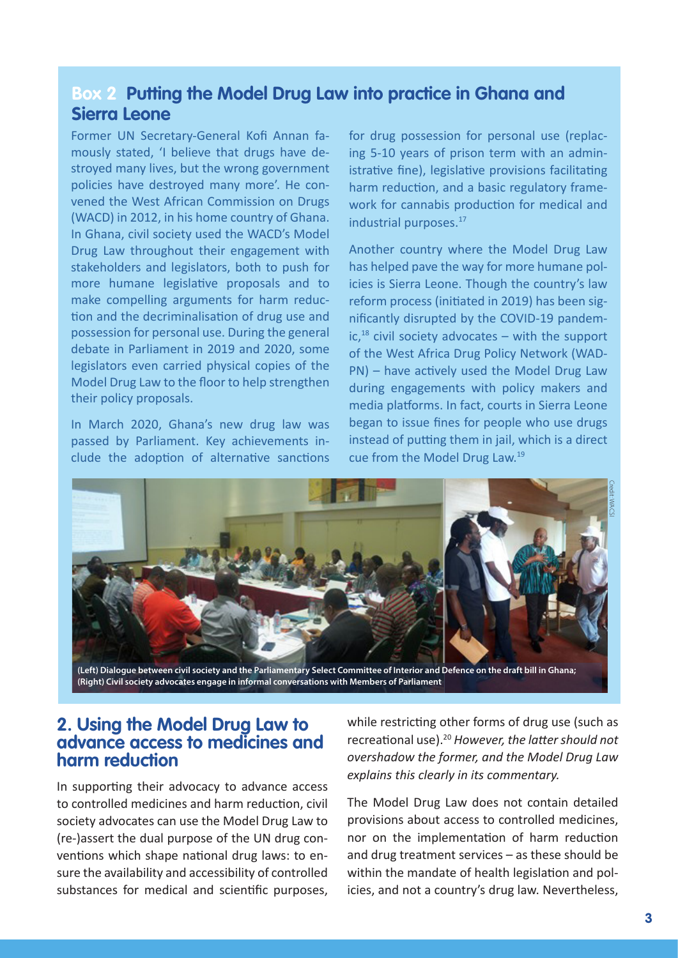### **Box 2 Putting the Model Drug Law into practice in Ghana and Sierra Leone**

Former UN Secretary-General Kofi Annan famously stated, 'I believe that drugs have destroyed many lives, but the wrong government policies have destroyed many more'. He convened the West African Commission on Drugs (WACD) in 2012, in his home country of Ghana. In Ghana, civil society used the WACD's Model Drug Law throughout their engagement with stakeholders and legislators, both to push for more humane legislative proposals and to make compelling arguments for harm reduction and the decriminalisation of drug use and possession for personal use. During the general debate in Parliament in 2019 and 2020, some legislators even carried physical copies of the Model Drug Law to the floor to help strengthen their policy proposals.

In March 2020, Ghana's new drug law was passed by Parliament. Key achievements include the adoption of alternative sanctions

for drug possession for personal use (replacing 5-10 years of prison term with an administrative fine), legislative provisions facilitating harm reduction, and a basic regulatory framework for cannabis production for medical and industrial purposes.<sup>17</sup>

Another country where the Model Drug Law has helped pave the way for more humane policies is Sierra Leone. Though the country's law reform process (initiated in 2019) has been significantly disrupted by the COVID-19 pandem $ic,18$  civil society advocates – with the support of the West Africa Drug Policy Network (WAD-PN) – have actively used the Model Drug Law during engagements with policy makers and media platforms. In fact, courts in Sierra Leone began to issue fines for people who use drugs instead of putting them in jail, which is a direct cue from the Model Drug Law.19



**(Left) Dialogue between civil society and the Parliamentary Select Committee of Interior and Defence on the draft bill in Ghana; (Right) Civil society advocates engage in informal conversations with Members of Parliament**

#### **2. Using the Model Drug Law to advance access to medicines and harm reduction**

In supporting their advocacy to advance access to controlled medicines and harm reduction, civil society advocates can use the Model Drug Law to (re-)assert the dual purpose of the UN drug conventions which shape national drug laws: to ensure the availability and accessibility of controlled substances for medical and scientific purposes,

while restricting other forms of drug use (such as recreational use).<sup>20</sup> *However, the latter should not overshadow the former, and the Model Drug Law explains this clearly in its commentary.*

The Model Drug Law does not contain detailed provisions about access to controlled medicines, nor on the implementation of harm reduction and drug treatment services – as these should be within the mandate of health legislation and policies, and not a country's drug law. Nevertheless,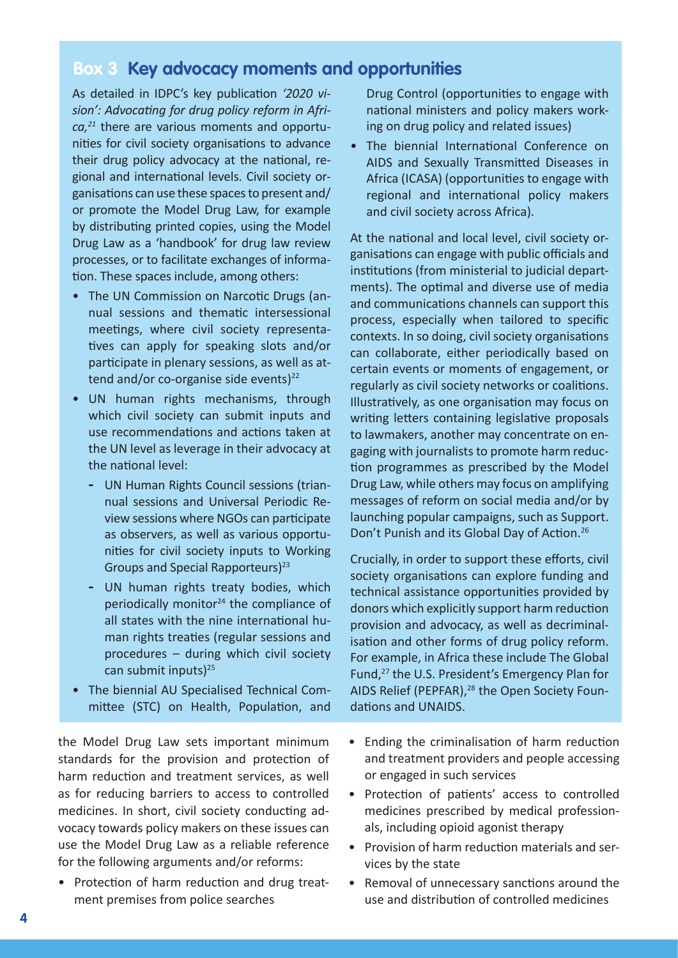### **Box 3 Key advocacy moments and opportunities**

As detailed in IDPC's key publication *'2020 vision': Advocating for drug policy reform in Africa,21* there are various moments and opportunities for civil society organisations to advance their drug policy advocacy at the national, regional and international levels. Civil society organisations can use these spaces to present and/ or promote the Model Drug Law, for example by distributing printed copies, using the Model Drug Law as a 'handbook' for drug law review processes, or to facilitate exchanges of information. These spaces include, among others:

- The UN Commission on Narcotic Drugs (annual sessions and thematic intersessional meetings, where civil society representatives can apply for speaking slots and/or participate in plenary sessions, as well as attend and/or co-organise side events $)^{22}$
- UN human rights mechanisms, through which civil society can submit inputs and use recommendations and actions taken at the UN level as leverage in their advocacy at the national level:
	- **-** UN Human Rights Council sessions (triannual sessions and Universal Periodic Review sessions where NGOs can participate as observers, as well as various opportunities for civil society inputs to Working Groups and Special Rapporteurs)<sup>23</sup>
	- **-** UN human rights treaty bodies, which periodically monitor $24$  the compliance of all states with the nine international human rights treaties (regular sessions and procedures – during which civil society can submit inputs)<sup>25</sup>
- The biennial AU Specialised Technical Committee (STC) on Health, Population, and

the Model Drug Law sets important minimum standards for the provision and protection of harm reduction and treatment services, as well as for reducing barriers to access to controlled medicines. In short, civil society conducting advocacy towards policy makers on these issues can use the Model Drug Law as a reliable reference for the following arguments and/or reforms:

• Protection of harm reduction and drug treatment premises from police searches

Drug Control (opportunities to engage with national ministers and policy makers working on drug policy and related issues)

• The biennial International Conference on AIDS and Sexually Transmitted Diseases in Africa (ICASA) (opportunities to engage with regional and international policy makers and civil society across Africa).

At the national and local level, civil society organisations can engage with public officials and institutions (from ministerial to judicial departments). The optimal and diverse use of media and communications channels can support this process, especially when tailored to specific contexts. In so doing, civil society organisations can collaborate, either periodically based on certain events or moments of engagement, or regularly as civil society networks or coalitions. Illustratively, as one organisation may focus on writing letters containing legislative proposals to lawmakers, another may concentrate on engaging with journalists to promote harm reduction programmes as prescribed by the Model Drug Law, while others may focus on amplifying messages of reform on social media and/or by launching popular campaigns, such as Support. Don't Punish and its Global Day of Action.<sup>26</sup>

Crucially, in order to support these efforts, civil society organisations can explore funding and technical assistance opportunities provided by donors which explicitly support harm reduction provision and advocacy, as well as decriminalisation and other forms of drug policy reform. For example, in Africa these include The Global Fund,<sup>27</sup> the U.S. President's Emergency Plan for AIDS Relief (PEPFAR),<sup>28</sup> the Open Society Foundations and UNAIDS.

- Ending the criminalisation of harm reduction and treatment providers and people accessing or engaged in such services
- Protection of patients' access to controlled medicines prescribed by medical professionals, including opioid agonist therapy
- Provision of harm reduction materials and services by the state
- Removal of unnecessary sanctions around the use and distribution of controlled medicines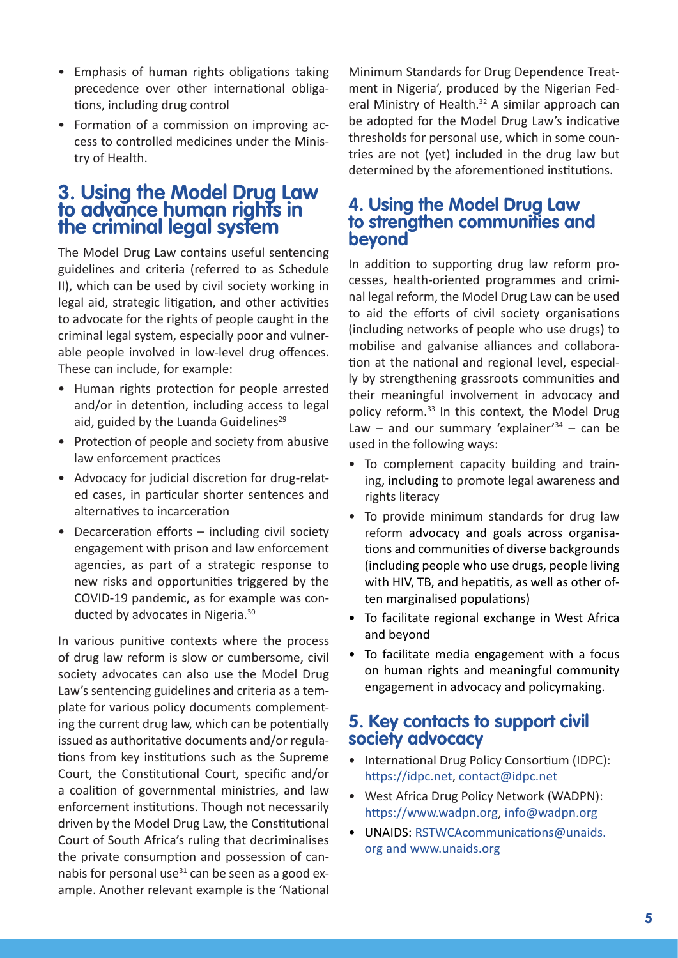- Emphasis of human rights obligations taking precedence over other international obligations, including drug control
- Formation of a commission on improving access to controlled medicines under the Ministry of Health.

### **3. Using the Model Drug Law to advance human rights in the criminal legal system**

The Model Drug Law contains useful sentencing guidelines and criteria (referred to as Schedule II), which can be used by civil society working in legal aid, strategic litigation, and other activities to advocate for the rights of people caught in the criminal legal system, especially poor and vulnerable people involved in low-level drug offences. These can include, for example:

- Human rights protection for people arrested and/or in detention, including access to legal aid, guided by the Luanda Guidelines $^{29}$
- Protection of people and society from abusive law enforcement practices
- Advocacy for judicial discretion for drug-related cases, in particular shorter sentences and alternatives to incarceration
- Decarceration efforts including civil society engagement with prison and law enforcement agencies, as part of a strategic response to new risks and opportunities triggered by the COVID-19 pandemic, as for example was conducted by advocates in Nigeria.<sup>30</sup>

In various punitive contexts where the process of drug law reform is slow or cumbersome, civil society advocates can also use the Model Drug Law's sentencing guidelines and criteria as a template for various policy documents complementing the current drug law, which can be potentially issued as authoritative documents and/or regulations from key institutions such as the Supreme Court, the Constitutional Court, specific and/or a coalition of governmental ministries, and law enforcement institutions. Though not necessarily driven by the Model Drug Law, the Constitutional Court of South Africa's ruling that decriminalises the private consumption and possession of cannabis for personal use $31$  can be seen as a good example. Another relevant example is the 'National

Minimum Standards for Drug Dependence Treatment in Nigeria', produced by the Nigerian Federal Ministry of Health.<sup>32</sup> A similar approach can be adopted for the Model Drug Law's indicative thresholds for personal use, which in some countries are not (yet) included in the drug law but determined by the aforementioned institutions.

#### **4. Using the Model Drug Law to strengthen communities and beyond**

In addition to supporting drug law reform processes, health-oriented programmes and criminal legal reform, the Model Drug Law can be used to aid the efforts of civil society organisations (including networks of people who use drugs) to mobilise and galvanise alliances and collaboration at the national and regional level, especially by strengthening grassroots communities and their meaningful involvement in advocacy and policy reform.<sup>33</sup> In this context, the Model Drug Law – and our summary 'explainer'<sup>34</sup> – can be used in the following ways:

- To complement capacity building and training, including to promote legal awareness and rights literacy
- To provide minimum standards for drug law reform advocacy and goals across organisations and communities of diverse backgrounds (including people who use drugs, people living with HIV, TB, and hepatitis, as well as other often marginalised populations)
- To facilitate regional exchange in West Africa and beyond
- To facilitate media engagement with a focus on human rights and meaningful community engagement in advocacy and policymaking.

### **5. Key contacts to support civil society advocacy**

- International Drug Policy Consortium (IDPC): [https://idpc.net](https://idpc.net/), [contact@idpc.net](mailto:contact@idpc.net)
- West Africa Drug Policy Network (WADPN): [https://www.wadpn.org](https://www.wadpn.org/), [info@wadpn.org](mailto:info@wapdn.org)
- UNAIDS: [RSTWCAcommunications@unaids.](mailto:RSTWCAcommunications@unaids.org) [org](mailto:RSTWCAcommunications@unaids.org) and [www.unaids.org](http://www.unaids.org/)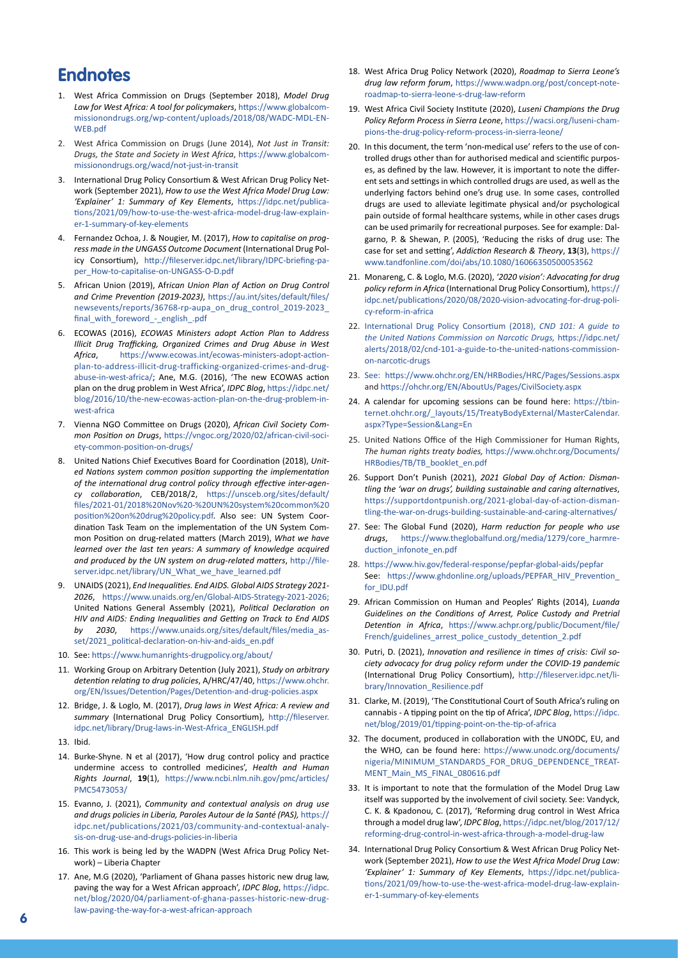#### **Endnotes**

- 1. West Africa Commission on Drugs (September 2018), *Model Drug Law for West Africa: A tool for policymakers*, [https://www.globalcom](https://www.globalcommissionondrugs.org/wp-content/uploads/2018/08/WADC-MDL-EN-WEB.pdf)[missionondrugs.org/wp-content/uploads/2018/08/WADC-MDL-EN-](https://www.globalcommissionondrugs.org/wp-content/uploads/2018/08/WADC-MDL-EN-WEB.pdf)[WEB.pdf](https://www.globalcommissionondrugs.org/wp-content/uploads/2018/08/WADC-MDL-EN-WEB.pdf)
- 2. West Africa Commission on Drugs (June 2014), *Not Just in Transit: Drugs, the State and Society in West Africa*, [https://www.globalcom](https://www.globalcommissionondrugs.org/wacd/not-just-in-transit)[missionondrugs.org/wacd/not-just-in-transit](https://www.globalcommissionondrugs.org/wacd/not-just-in-transit)
- 3. International Drug Policy Consortium & West African Drug Policy Network (September 2021), *How to use the West Africa Model Drug Law: 'Explainer' 1: Summary of Key Elements*, [https://idpc.net/publica](https://idpc.net/publications/2021/09/how-to-use-the-west-africa-model-drug-law-explainer-1-summary-of-key-elements)[tions/2021/09/how-to-use-the-west-africa-model-drug-law-explain](https://idpc.net/publications/2021/09/how-to-use-the-west-africa-model-drug-law-explainer-1-summary-of-key-elements)[er-1-summary-of-key-elements](https://idpc.net/publications/2021/09/how-to-use-the-west-africa-model-drug-law-explainer-1-summary-of-key-elements)
- 4. Fernandez Ochoa, J. & Nougier, M. (2017), *How to capitalise on progress made in the UNGASS Outcome Document* (International Drug Policy Consortium), [http://fileserver.idpc.net/library/IDPC-briefing-pa](http://fileserver.idpc.net/library/IDPC-briefing-paper_How-to-capitalise-on-UNGASS-O-D.pdf)[per\\_How-to-capitalise-on-UNGASS-O-D.pdf](http://fileserver.idpc.net/library/IDPC-briefing-paper_How-to-capitalise-on-UNGASS-O-D.pdf)
- 5. African Union (2019), Afr*ican Union Plan of Action on Drug Control and Crime Prevention (2019-2023)*, [https://au.int/sites/default/files/](https://au.int/sites/default/files/newsevents/reports/36768-rp-aupa_on_drug_control_2019-2023_final_with_foreword_-_english_.pdf) [newsevents/reports/36768-rp-aupa\\_on\\_drug\\_control\\_2019-2023\\_](https://au.int/sites/default/files/newsevents/reports/36768-rp-aupa_on_drug_control_2019-2023_final_with_foreword_-_english_.pdf) [final\\_with\\_foreword\\_-\\_english\\_.pdf](https://au.int/sites/default/files/newsevents/reports/36768-rp-aupa_on_drug_control_2019-2023_final_with_foreword_-_english_.pdf)
- 6. ECOWAS (2016), *ECOWAS Ministers adopt Action Plan to Address Illicit Drug Trafficking, Organized Crimes and Drug Abuse in West Africa*, [https://www.ecowas.int/ecowas-ministers-adopt-action](https://www.ecowas.int/ecowas-ministers-adopt-action-plan-to-address-illicit-drug-trafficking-organized-crimes-and-drug-abuse-in-west-africa/)[plan-to-address-illicit-drug-trafficking-organized-crimes-and-drug](https://www.ecowas.int/ecowas-ministers-adopt-action-plan-to-address-illicit-drug-trafficking-organized-crimes-and-drug-abuse-in-west-africa/)[abuse-in-west-africa/](https://www.ecowas.int/ecowas-ministers-adopt-action-plan-to-address-illicit-drug-trafficking-organized-crimes-and-drug-abuse-in-west-africa/); Ane, M.G. (2016), 'The new ECOWAS action plan on the drug problem in West Africa', *IDPC Blog*, [https://idpc.net/](https://idpc.net/blog/2016/10/the-new-ecowas-action-plan-on-the-drug-problem-in-west-africa) [blog/2016/10/the-new-ecowas-action-plan-on-the-drug-problem-in](https://idpc.net/blog/2016/10/the-new-ecowas-action-plan-on-the-drug-problem-in-west-africa)[west-africa](https://idpc.net/blog/2016/10/the-new-ecowas-action-plan-on-the-drug-problem-in-west-africa)
- 7. Vienna NGO Committee on Drugs (2020), *African Civil Society Common Position on Drugs*, [https://vngoc.org/2020/02/african-civil-soci](https://vngoc.org/2020/02/african-civil-society-common-position-on-drugs/)[ety-common-position-on-drugs/](https://vngoc.org/2020/02/african-civil-society-common-position-on-drugs/)
- 8. [United Nations Chief Executives Board for Coordination \(2018\),](https://idpc.net/publications/2019/12/un-common-position-on-drug-policy-consolidating-system-wide-coherence) *United Nations system common position supporting the implementation of the international drug control policy through effective inter-agency collaboration*, CEB/2018/2, [https://unsceb.org/sites/default/](https://unsceb.org/sites/default/files/2021-01/2018%20Nov%20-%20UN%20system%20common%20position%20on%20drug%20policy.pdf) [files/2021-01/2018%20Nov%20-%20UN%20system%20common%20](https://unsceb.org/sites/default/files/2021-01/2018%20Nov%20-%20UN%20system%20common%20position%20on%20drug%20policy.pdf) [position%20on%20drug%20policy.pdf](https://unsceb.org/sites/default/files/2021-01/2018%20Nov%20-%20UN%20system%20common%20position%20on%20drug%20policy.pdf). Also see: UN System Coordination Task Team on the implementation of the UN System Common Position on drug-related matters (March 2019), *What we have learned over the last ten years: A summary of knowledge acquired and produced by the UN system on drug-related matters*, [http://file](http://fileserver.idpc.net/library/UN_What_we_have_learned.pdf)[server.idpc.net/library/UN\\_What\\_we\\_have\\_learned.pdf](http://fileserver.idpc.net/library/UN_What_we_have_learned.pdf)
- 9. UNAIDS (2021), *End Inequalities. End AIDS. Global AIDS Strategy 2021- 2026*, <https://www.unaids.org/en/Global-AIDS-Strategy-2021-2026>; United Nations General Assembly (2021), *Political Declaration on HIV and AIDS: Ending Inequalities and Getting on Track to End AIDS by 2030*, [https://www.unaids.org/sites/default/files/media\\_as](https://www.unaids.org/sites/default/files/media_asset/2021_political-declaration-on-hiv-and-aids_en.pdf)[set/2021\\_political-declaration-on-hiv-and-aids\\_en.pdf](https://www.unaids.org/sites/default/files/media_asset/2021_political-declaration-on-hiv-and-aids_en.pdf)
- 10. See: <https://www.humanrights-drugpolicy.org/about/>
- 11. Working Group on Arbitrary Detention (July 2021), *Study on arbitrary detention relating to drug policies*, A/HRC/47/40, [https://www.ohchr.](https://www.ohchr.org/EN/Issues/Detention/Pages/Detention-and-drug-policies.aspx) [org/EN/Issues/Detention/Pages/Detention-and-drug-policies.aspx](https://www.ohchr.org/EN/Issues/Detention/Pages/Detention-and-drug-policies.aspx)
- 12. Bridge, J. & Loglo, M. (2017), *Drug laws in West Africa: A review and summary* (International Drug Policy Consortium), [http://fileserver.](http://fileserver.idpc.net/library/Drug-laws-in-West-Africa_ENGLISH.pdf) [idpc.net/library/Drug-laws-in-West-Africa\\_ENGLISH.pdf](http://fileserver.idpc.net/library/Drug-laws-in-West-Africa_ENGLISH.pdf)
- 13. Ibid.
- 14. Burke-Shyne. N et al (2017), 'How drug control policy and practice undermine access to controlled medicines', *Health and Human Rights Journal*, **19**(1), [https://www.ncbi.nlm.nih.gov/pmc/articles/](https://www.ncbi.nlm.nih.gov/pmc/articles/PMC5473053/) [PMC5473053/](https://www.ncbi.nlm.nih.gov/pmc/articles/PMC5473053/)
- 15. Evanno, J. (2021), *Community and contextual analysis on drug use and drugs policies in Liberia, Paroles Autour de la Santé (PAS),* [https://](https://idpc.net/publications/2021/03/community-and-contextual-analysis-on-drug-use-and-drugs-policies-in-liberia) [idpc.net/publications/2021/03/community-and-contextual-analy](https://idpc.net/publications/2021/03/community-and-contextual-analysis-on-drug-use-and-drugs-policies-in-liberia)[sis-on-drug-use-and-drugs-policies-in-liberia](https://idpc.net/publications/2021/03/community-and-contextual-analysis-on-drug-use-and-drugs-policies-in-liberia)
- 16. This work is being led by the WADPN (West Africa Drug Policy Network) – Liberia Chapter
- 17. Ane, M.G (2020), 'Parliament of Ghana passes historic new drug law, paving the way for a West African approach', *IDPC Blog*, [https://idpc.](https://idpc.net/blog/2020/04/parliament-of-ghana-passes-historic-new-drug-law-paving-the-way-for-a-west-african-approach) [net/blog/2020/04/parliament-of-ghana-passes-historic-new-drug](https://idpc.net/blog/2020/04/parliament-of-ghana-passes-historic-new-drug-law-paving-the-way-for-a-west-african-approach)[law-paving-the-way-for-a-west-african-approach](https://idpc.net/blog/2020/04/parliament-of-ghana-passes-historic-new-drug-law-paving-the-way-for-a-west-african-approach)
- 18. West Africa Drug Policy Network (2020), *Roadmap to Sierra Leone's drug law reform forum*, [https://www.wadpn.org/post/concept-note](https://www.wadpn.org/post/concept-note-roadmap-to-sierra-leone-s-drug-law-reform)[roadmap-to-sierra-leone-s-drug-law-reform](https://www.wadpn.org/post/concept-note-roadmap-to-sierra-leone-s-drug-law-reform)
- 19. West Africa Civil Society Institute (2020), *Luseni Champions the Drug Policy Reform Process in Sierra Leone*, [https://wacsi.org/luseni-cham](https://wacsi.org/luseni-champions-the-drug-policy-reform-process-in-sierra-leone/)[pions-the-drug-policy-reform-process-in-sierra-leone/](https://wacsi.org/luseni-champions-the-drug-policy-reform-process-in-sierra-leone/)
- 20. In this document, the term 'non-medical use' refers to the use of controlled drugs other than for authorised medical and scientific purposes, as defined by the law. However, it is important to note the different sets and settings in which controlled drugs are used, as well as the underlying factors behind one's drug use. In some cases, controlled drugs are used to alleviate legitimate physical and/or psychological pain outside of formal healthcare systems, while in other cases drugs can be used primarily for recreational purposes. See for example: Dalgarno, P. & Shewan, P. (2005), 'Reducing the risks of drug use: The case for set and setting', *Addiction Research & Theory*, **13**(3), [https://](https://www.tandfonline.com/doi/abs/10.1080/16066350500053562) [www.tandfonline.com/doi/abs/10.1080/16066350500053562](https://www.tandfonline.com/doi/abs/10.1080/16066350500053562)
- 21. Monareng, C. & Loglo, M.G. (2020), *'2020 vision': Advocating for drug policy reform in Africa* (International Drug Policy Consortium), [https://](https://idpc.net/publications/2020/08/2020-vision-advocating-for-drug-policy-reform-in-africa) [idpc.net/publications/2020/08/2020-vision-advocating-for-drug-poli](https://idpc.net/publications/2020/08/2020-vision-advocating-for-drug-policy-reform-in-africa)[cy-reform-in-africa](https://idpc.net/publications/2020/08/2020-vision-advocating-for-drug-policy-reform-in-africa)
- 22. [International Drug Policy Consortium \(2018\),](file:///Users/mathew_birch/Library/Mobile%20Documents/com%7eapple%7eCloudDocs/IDPC%20publications/Model%20Drug%20Law%20Explainers/Model%20Drug%20Law%20explainer/MDLE%20No%202/%09International%20Drug%20Policy%20Consortium%20(2018),%20CND%20101:%20A%20guide%20to%20the%20United%20Nations%20Commission%20on%20Narcotic%20Drugs,%20https://idpc.net/alerts/2018/02/cnd-101-a-guide-to-the-united-nations-commission-on-narcotic-drugs) *CND 101: A guide to [the United Nations Commission on Narcotic Drugs,](file:///Users/mathew_birch/Library/Mobile%20Documents/com%7eapple%7eCloudDocs/IDPC%20publications/Model%20Drug%20Law%20Explainers/Model%20Drug%20Law%20explainer/MDLE%20No%202/%09International%20Drug%20Policy%20Consortium%20(2018),%20CND%20101:%20A%20guide%20to%20the%20United%20Nations%20Commission%20on%20Narcotic%20Drugs,%20https://idpc.net/alerts/2018/02/cnd-101-a-guide-to-the-united-nations-commission-on-narcotic-drugs)* https://idpc.net/ [alerts/2018/02/cnd-101-a-guide-to-the-united-nations-commission](file:///Users/mathew_birch/Library/Mobile%20Documents/com%7eapple%7eCloudDocs/IDPC%20publications/Model%20Drug%20Law%20Explainers/Model%20Drug%20Law%20explainer/MDLE%20No%202/%09International%20Drug%20Policy%20Consortium%20(2018),%20CND%20101:%20A%20guide%20to%20the%20United%20Nations%20Commission%20on%20Narcotic%20Drugs,%20https://idpc.net/alerts/2018/02/cnd-101-a-guide-to-the-united-nations-commission-on-narcotic-drugs)[on-narcotic-drugs](file:///Users/mathew_birch/Library/Mobile%20Documents/com%7eapple%7eCloudDocs/IDPC%20publications/Model%20Drug%20Law%20Explainers/Model%20Drug%20Law%20explainer/MDLE%20No%202/%09International%20Drug%20Policy%20Consortium%20(2018),%20CND%20101:%20A%20guide%20to%20the%20United%20Nations%20Commission%20on%20Narcotic%20Drugs,%20https://idpc.net/alerts/2018/02/cnd-101-a-guide-to-the-united-nations-commission-on-narcotic-drugs)
- 23. [See: https://www.ohchr.org/EN/HRBodies/HRC/Pages/Sessions.aspx](%09See:%20https://www.ohchr.org/EN/HRBodies/HRC/Pages/Sessions.aspx) and <https://ohchr.org/EN/AboutUs/Pages/CivilSociety.aspx>
- 24. A calendar for upcoming sessions can be found here: [https://tbin](https://tbinternet.ohchr.org/_layouts/15/TreatyBodyExternal/MasterCalendar.aspx?Type=Session&Lang=En)[ternet.ohchr.org/\\_layouts/15/TreatyBodyExternal/MasterCalendar.](https://tbinternet.ohchr.org/_layouts/15/TreatyBodyExternal/MasterCalendar.aspx?Type=Session&Lang=En) [aspx?Type=Session&Lang=En](https://tbinternet.ohchr.org/_layouts/15/TreatyBodyExternal/MasterCalendar.aspx?Type=Session&Lang=En)
- 25. United Nations Office of the High Commissioner for Human Rights, *The human rights treaty bodies,* [https://www.ohchr.org/Documents/](https://www.ohchr.org/Documents/HRBodies/TB/TB_booklet_en.pdf) [HRBodies/TB/TB\\_booklet\\_en.pdf](https://www.ohchr.org/Documents/HRBodies/TB/TB_booklet_en.pdf)
- 26. Support Don't Punish (2021), *2021 Global Day of Action: Dismantling the 'war on drugs', building sustainable and caring alternatives*, [https://supportdontpunish.org/2021-global-day-of-action-disman](https://supportdontpunish.org/2021-global-day-of-action-dismantling-the-war-on-drugs-building-sustainable-and-caring-alternatives/)[tling-the-war-on-drugs-building-sustainable-and-caring-alternatives/](https://supportdontpunish.org/2021-global-day-of-action-dismantling-the-war-on-drugs-building-sustainable-and-caring-alternatives/)
- 27. See: The Global Fund (2020), *Harm reduction for people who use drugs*, [https://www.theglobalfund.org/media/1279/core\\_harmre](https://www.theglobalfund.org/media/1279/core_harmreduction_infonote_en.pdf)[duction\\_infonote\\_en.pdf](https://www.theglobalfund.org/media/1279/core_harmreduction_infonote_en.pdf)
- 28. <https://www.hiv.gov/federal-response/pepfar-global-aids/pepfar> See: [https://www.ghdonline.org/uploads/PEPFAR\\_HIV\\_Prevention\\_](https://www.ghdonline.org/uploads/PEPFAR_HIV_Prevention_for_IDU.pdf) [for\\_IDU.pdf](https://www.ghdonline.org/uploads/PEPFAR_HIV_Prevention_for_IDU.pdf)
- 29. African Commission on Human and Peoples' Rights (2014), *Luanda Guidelines on the Conditions of Arrest, Police Custody and Pretrial Detention in Africa*, [https://www.achpr.org/public/Document/file/](https://www.achpr.org/public/Document/file/French/guidelines_arrest_police_custody_detention_2.pdf) [French/guidelines\\_arrest\\_police\\_custody\\_detention\\_2.pdf](https://www.achpr.org/public/Document/file/French/guidelines_arrest_police_custody_detention_2.pdf)
- 30. Putri, D. (2021), *Innovation and resilience in times of crisis: Civil society advocacy for drug policy reform under the COVID-19 pandemic* (International Drug Policy Consortium), [http://fileserver.idpc.net/li](http://fileserver.idpc.net/library/Innovation_Resilience.pdf)[brary/Innovation\\_Resilience.pdf](http://fileserver.idpc.net/library/Innovation_Resilience.pdf)
- 31. Clarke, M. (2019), 'The Constitutional Court of South Africa's ruling on cannabis - A tipping point on the tip of Africa', *IDPC Blog*, [https://idpc.](https://idpc.net/blog/2019/01/tipping-point-on-the-tip-of-africa) [net/blog/2019/01/tipping-point-on-the-tip-of-africa](https://idpc.net/blog/2019/01/tipping-point-on-the-tip-of-africa)
- 32. The document, produced in collaboration with the UNODC, EU, and the WHO, can be found here: [https://www.unodc.org/documents/](https://www.unodc.org/documents/nigeria/MINIMUM_STANDARDS_FOR_DRUG_DEPENDENCE_TREATMENT_Main_MS_FINAL_080616.pdf) [nigeria/MINIMUM\\_STANDARDS\\_FOR\\_DRUG\\_DEPENDENCE\\_TREAT](https://www.unodc.org/documents/nigeria/MINIMUM_STANDARDS_FOR_DRUG_DEPENDENCE_TREATMENT_Main_MS_FINAL_080616.pdf)-[MENT\\_Main\\_MS\\_FINAL\\_080616.pdf](https://www.unodc.org/documents/nigeria/MINIMUM_STANDARDS_FOR_DRUG_DEPENDENCE_TREATMENT_Main_MS_FINAL_080616.pdf)
- 33. It is important to note that the formulation of the Model Drug Law itself was supported by the involvement of civil society. See: Vandyck, C. K. & Kpadonou, C. (2017), 'Reforming drug control in West Africa through a model drug law', *IDPC Blog*, [https://idpc.net/blog/2017/12/](https://idpc.net/blog/2017/12/reforming-drug-control-in-west-africa-through-a-model-drug-law) [reforming-drug-control-in-west-africa-through-a-model-drug-law](https://idpc.net/blog/2017/12/reforming-drug-control-in-west-africa-through-a-model-drug-law)
- 34. International Drug Policy Consortium & West African Drug Policy Network (September 2021), *How to use the West Africa Model Drug Law: 'Explainer' 1: Summary of Key Elements*, [https://idpc.net/publica](https://idpc.net/publications/2021/09/how-to-use-the-west-africa-model-drug-law-explainer-1-summary-of-key-elements)[tions/2021/09/how-to-use-the-west-africa-model-drug-law-explain](https://idpc.net/publications/2021/09/how-to-use-the-west-africa-model-drug-law-explainer-1-summary-of-key-elements)[er-1-summary-of-key-elements](https://idpc.net/publications/2021/09/how-to-use-the-west-africa-model-drug-law-explainer-1-summary-of-key-elements)